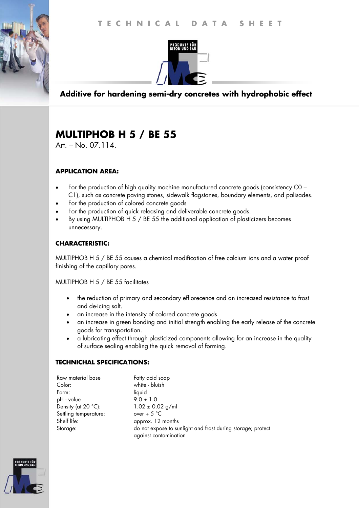

**Additive for hardening semi-dry concretes with hydrophobic effect** 

# **MULTIPHOB H 5 / BE 55**

Art. – No. 07.114.

## **APPLICATION AREA:**

- For the production of high quality machine manufactured concrete goods (consistency C0 C1), such as concrete paving stones, sidewalk flagstones, boundary elements, and palisades.
- For the production of colored concrete goods
- For the production of quick releasing and deliverable concrete goods.
- By using MULTIPHOB H 5 / BE 55 the additional application of plasticizers becomes unnecessary.

## **CHARACTERISTIC:**

MULTIPHOB H 5 / BE 55 causes a chemical modification of free calcium ions and a water proof finishing of the capillary pores.

MULTIPHOB H 5 / BE 55 facilitates

- the reduction of primary and secondary efflorecence and an increased resistance to frost and de-icing salt.
- an increase in the intensity of colored concrete goods.
- an increase in green bonding and initial strength enabling the early release of the concrete goods for transportation.
- a lubricating effect through plasticized components allowing for an increase in the quality of surface sealing enabling the quick removal of forming.

## **TECHNICHAL SPECIFICATIONS:**

| Raw material base            | Fatty acid soap                                             |
|------------------------------|-------------------------------------------------------------|
| Color:                       | white - bluish                                              |
| Form:                        | liquid                                                      |
| pH - value                   | $9.0 \pm 1.0$                                               |
| Density (at $20^{\circ}$ C): | $1.02 \pm 0.02$ g/ml                                        |
| Settling temperature:        | over + $5^{\circ}$ C                                        |
| Shelf life:                  | approx. 12 months                                           |
| Storage:                     | do not expose to sunlight and frost during storage; protect |
|                              | against contamination                                       |